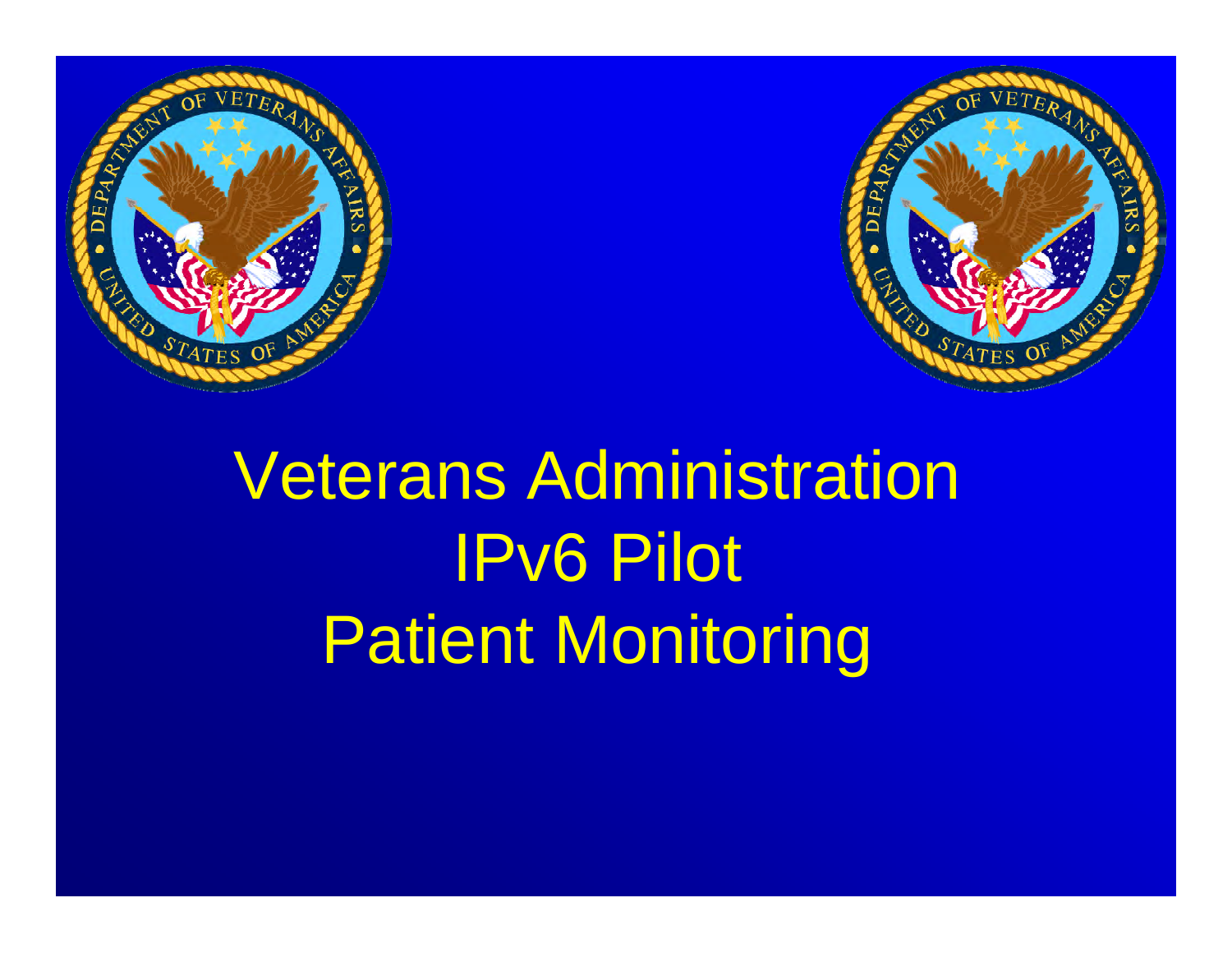



# Veterans Administration IPv6 Pilot Patient Monitoring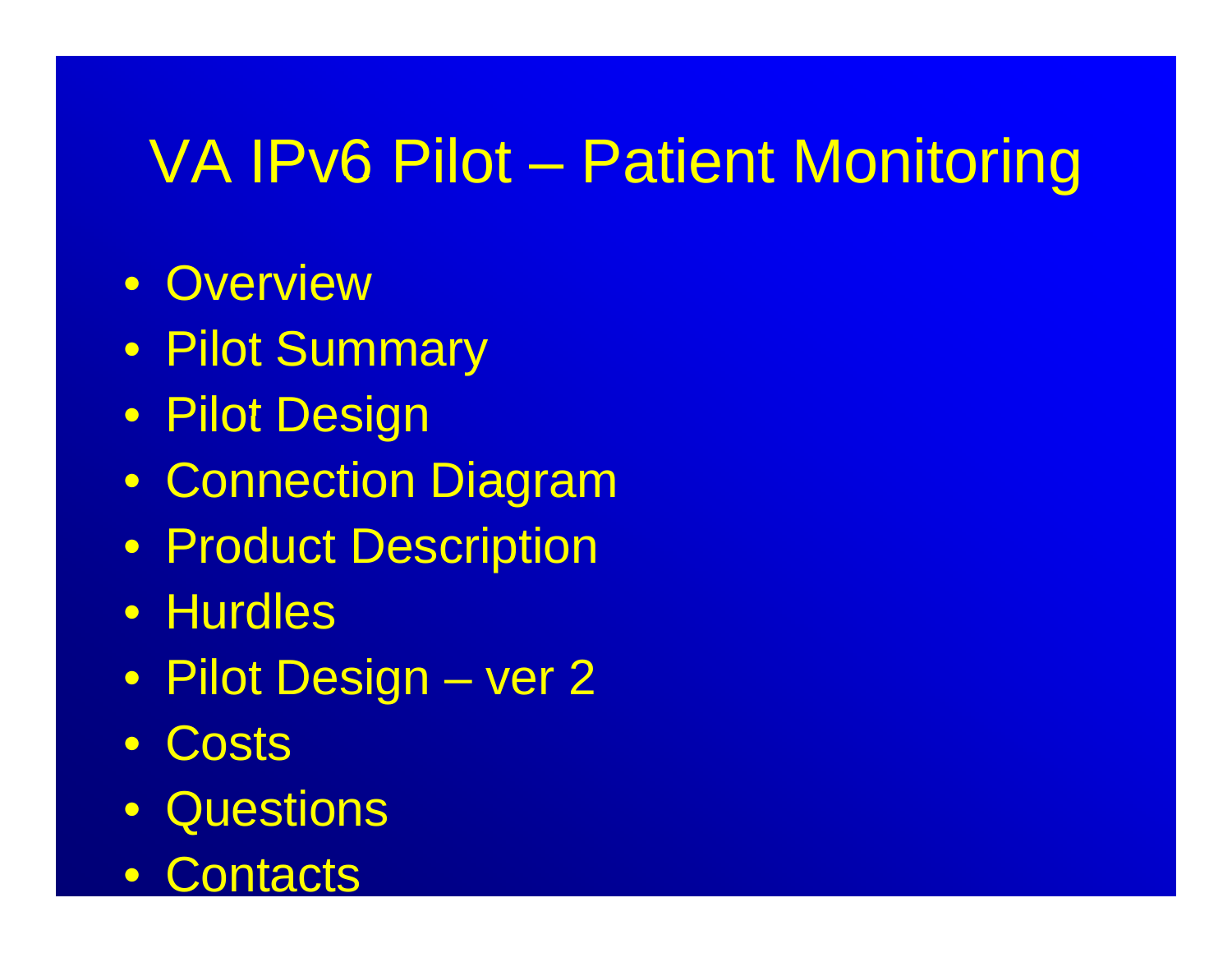- Overview
- Pilot Summary
- Pilot Design
- Connection Diagram
- Product Description
- Hurdles
- Pilot Design ver 2
- $\bullet$ **Costs**
- Questions
- $\bullet$ **Contacts**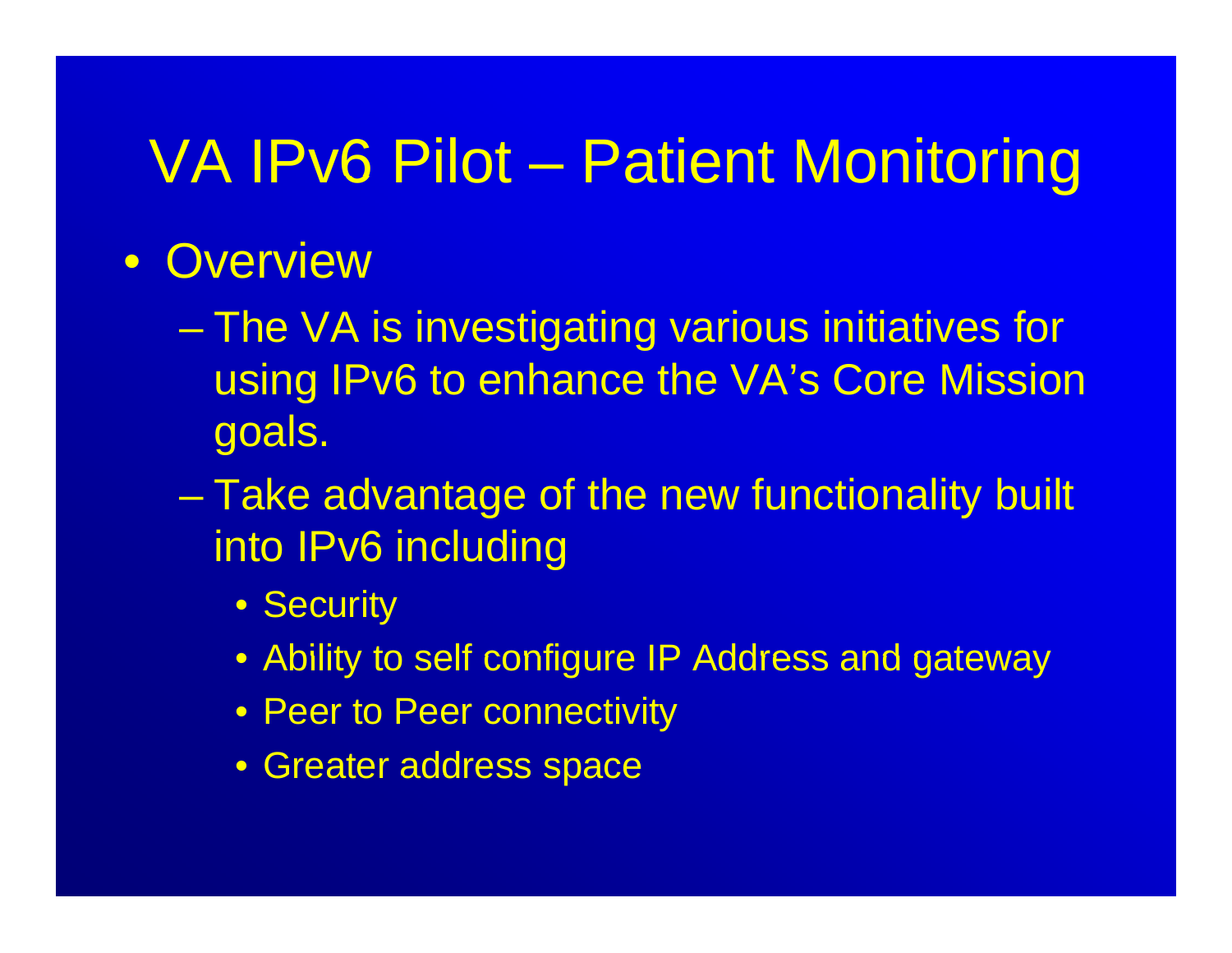#### • Overview

- The VA is investigating various initiatives for using IPv6 to enhance the VA's Core Mission goals.
- Charles Constantinopolis Take advantage of the new functionality built into IPv6 including
	- Security
	- Ability to self configure IP Address and gateway
	- Peer to Peer connectivity
	- Greater address space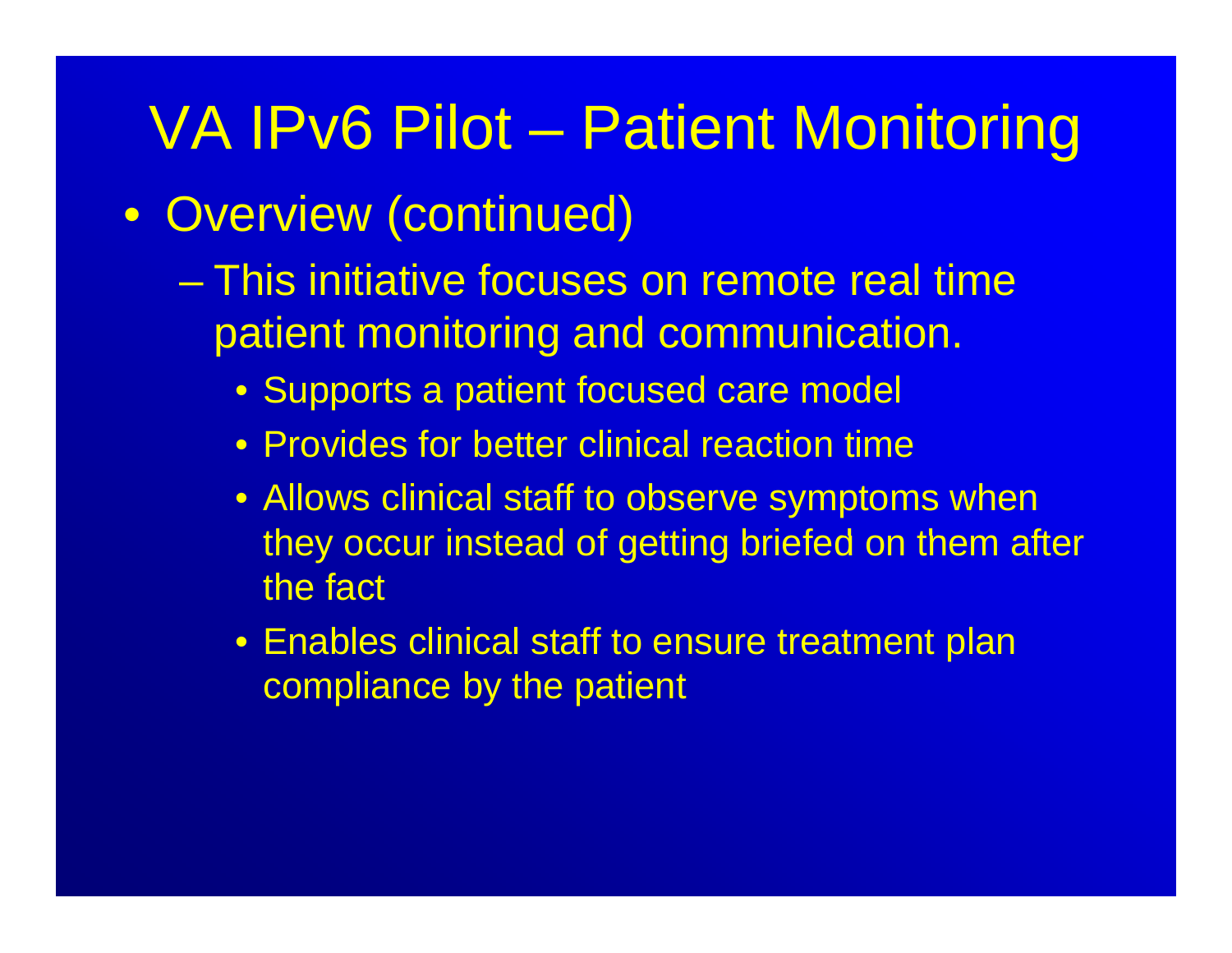- Overview (continued)
	- This initiative focuses on remote real time patient monitoring and communication.
		- Supports a patient focused care model
		- Provides for better clinical reaction time
		- Allows clinical staff to observe symptoms when they occur instead of getting briefed on them after the fact
		- Enables clinical staff to ensure treatment plan compliance by the patient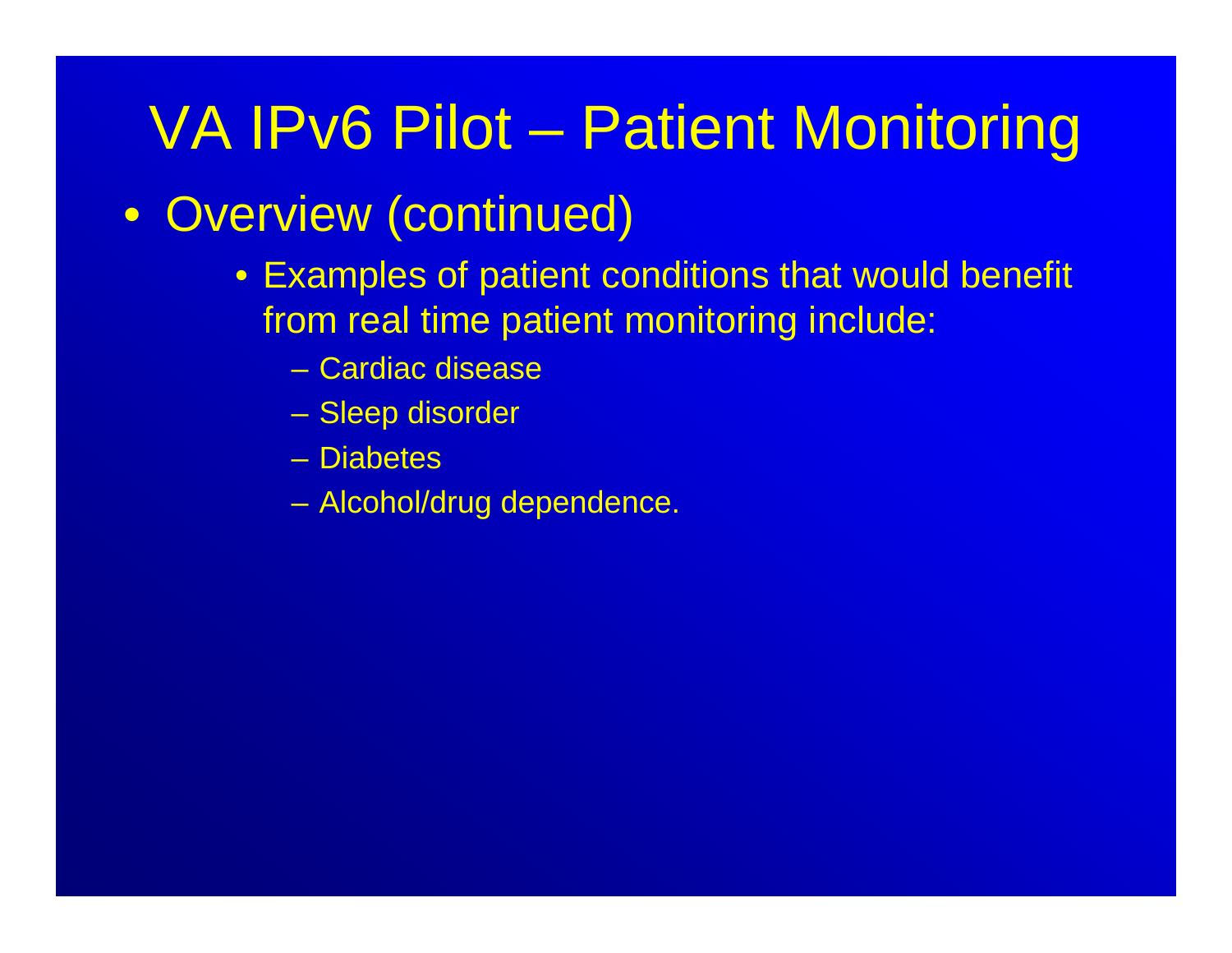#### • Overview (continued)

- Examples of patient conditions that would benefit from real time patient monitoring include:
	- Cardiac disease
	- Sleep disorder
	- Diabetes
	- Alcohol/drug dependence.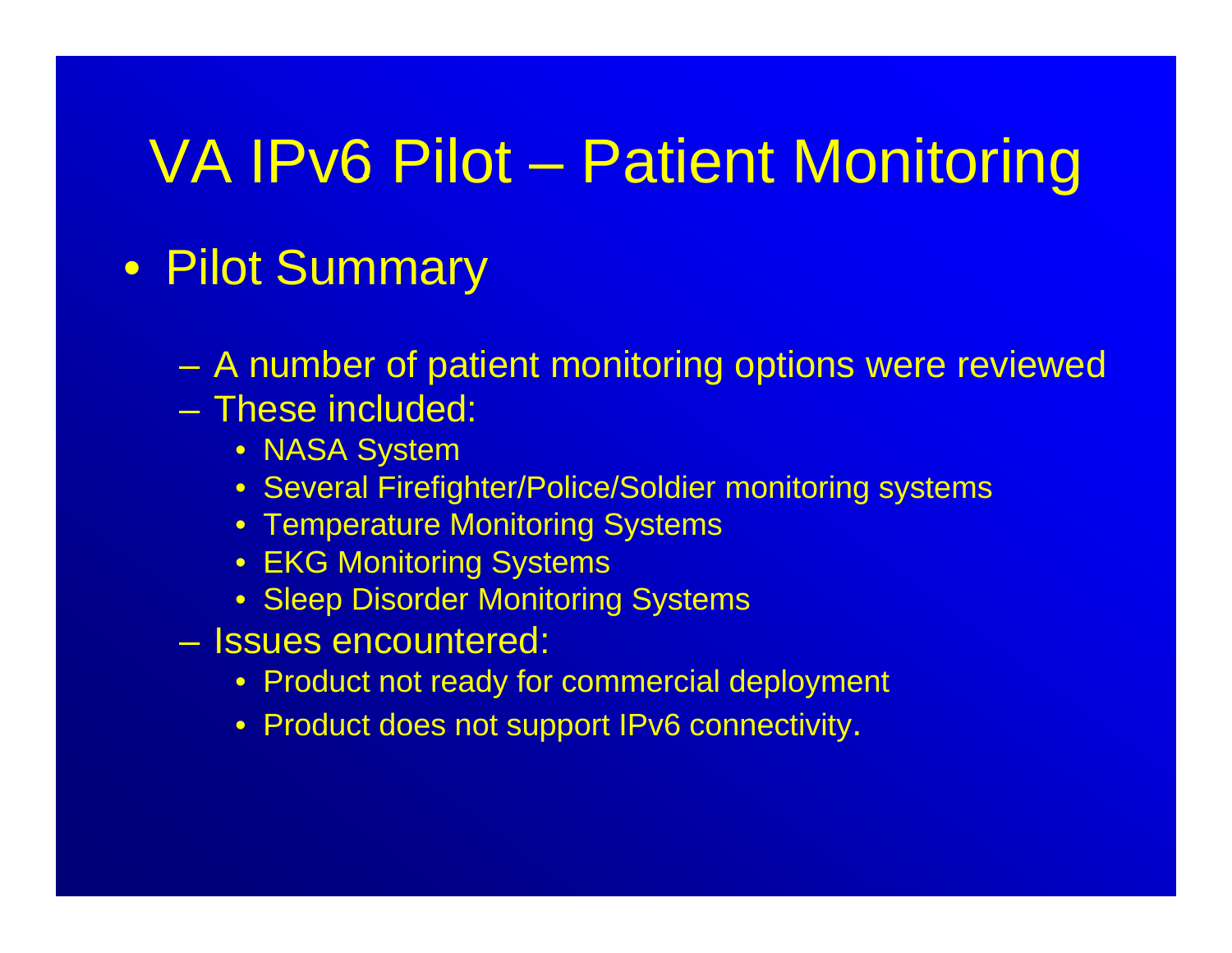#### • Pilot Summary

- $\mathcal{L}_{\mathcal{A}}$ A number of patient monitoring options were reviewed
- These included:
	- NASA System
	- Several Firefighter/Police/Soldier monitoring systems
	- $\bullet\,$  Temperature Monitoring Systems
	- EKG Monitoring Systems
	- Sleep Disorder Monitoring Systems
- Issues encountered:
	- Product not ready for commercial deployment
	- Product does not support IPv6 connectivity.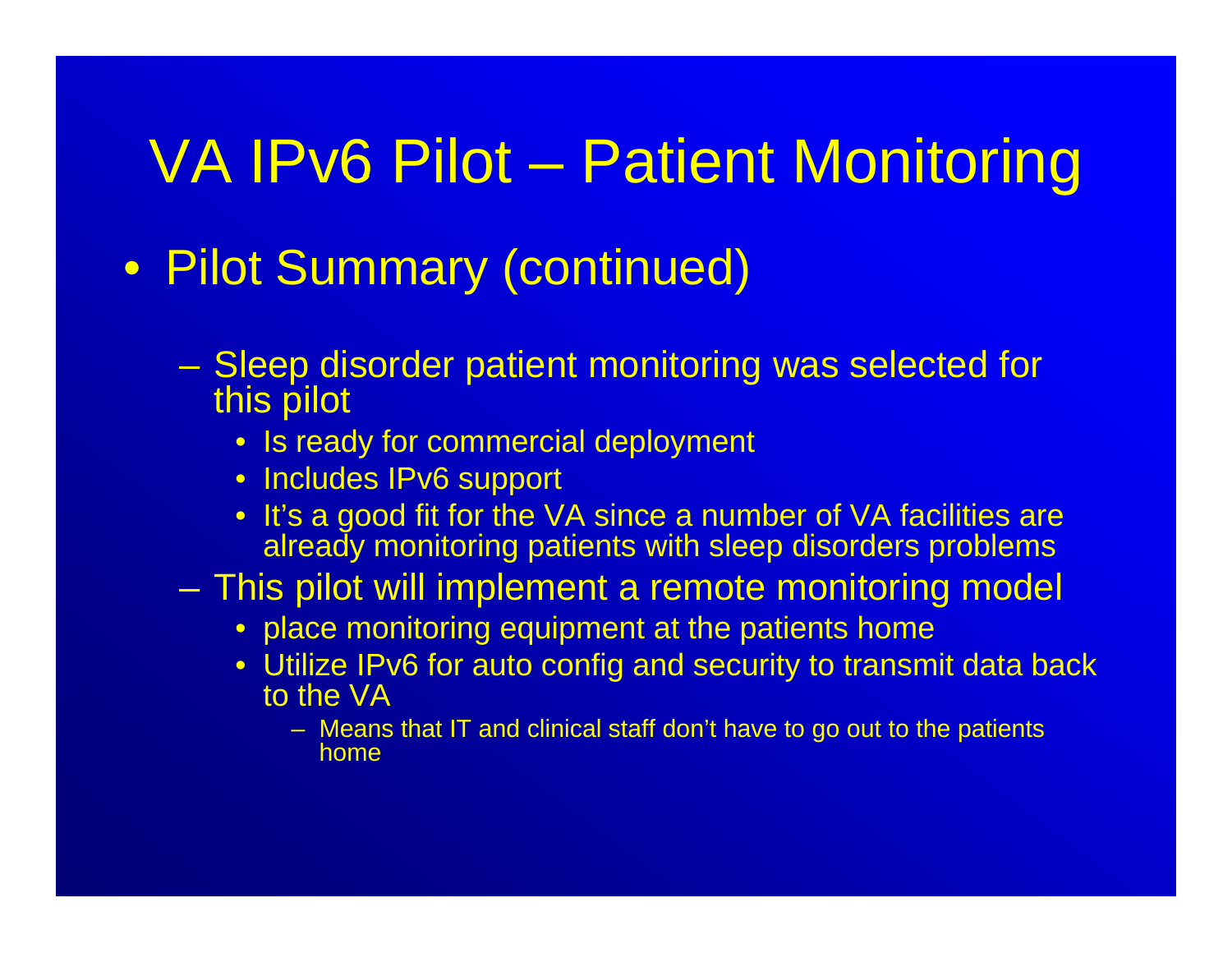- Pilot Summary (continued)
	- $\mathcal{L}_{\mathcal{A}}$  Sleep disorder patient monitoring was selected for this pilot
		- Is ready for commercial deployment
		- Includes IPv6 support
		- It's a good fit for the VA since a number of VA facilities are al ready monitoring patients with sleep disorders problems
	- This pilot will implement a remote monitoring model
		- place monitoring equipment at the patients home
		- $\bullet\,$  Utilize IPv6 for auto config and security to transmit data back to the VA
			- Means that IT and clinical staff don't have to go out to the patients home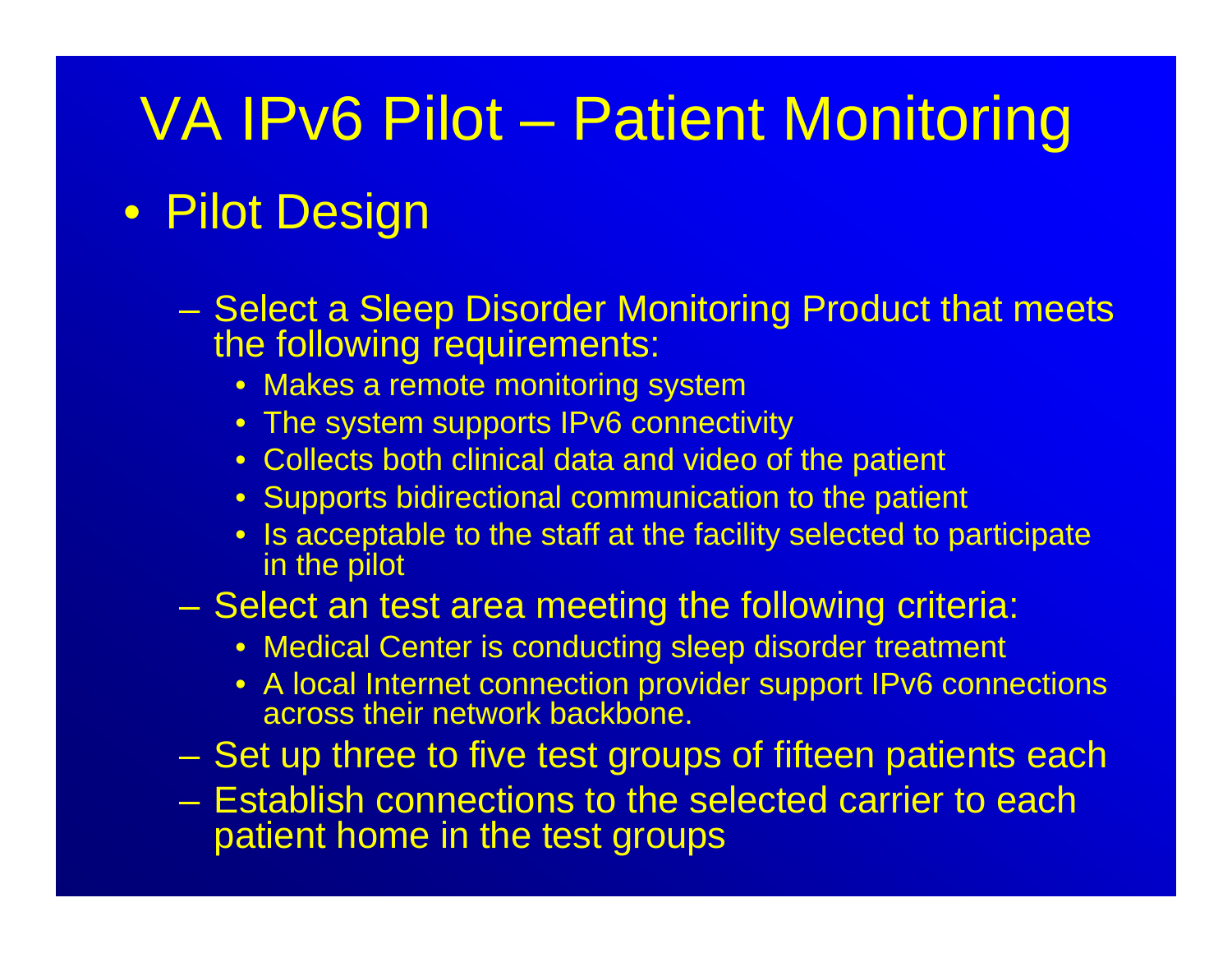#### • Pilot Design

- Select a Sleep Disorder Monitoring Product that meets the following requirements:
	- Makes a remote monitoring system
	- $\bullet\,$  The system supports IPv6 connectivity
	- Collects both clinical data and video of the patient
	- Supports bidirectional communication to the patient
	- $\bullet\;$  Is acceptable to the staff at the facility selected to participate in the pilot

#### Select an test area meeting the following criteria:

- Medical Center is conducting sleep disorder treatment
- A local Internet connection provider support IPv6 connections across their network backbone.
- Set up three to five test groups of fifteen patients each
- Establish connections to the selected carrier to each patient home in the test groups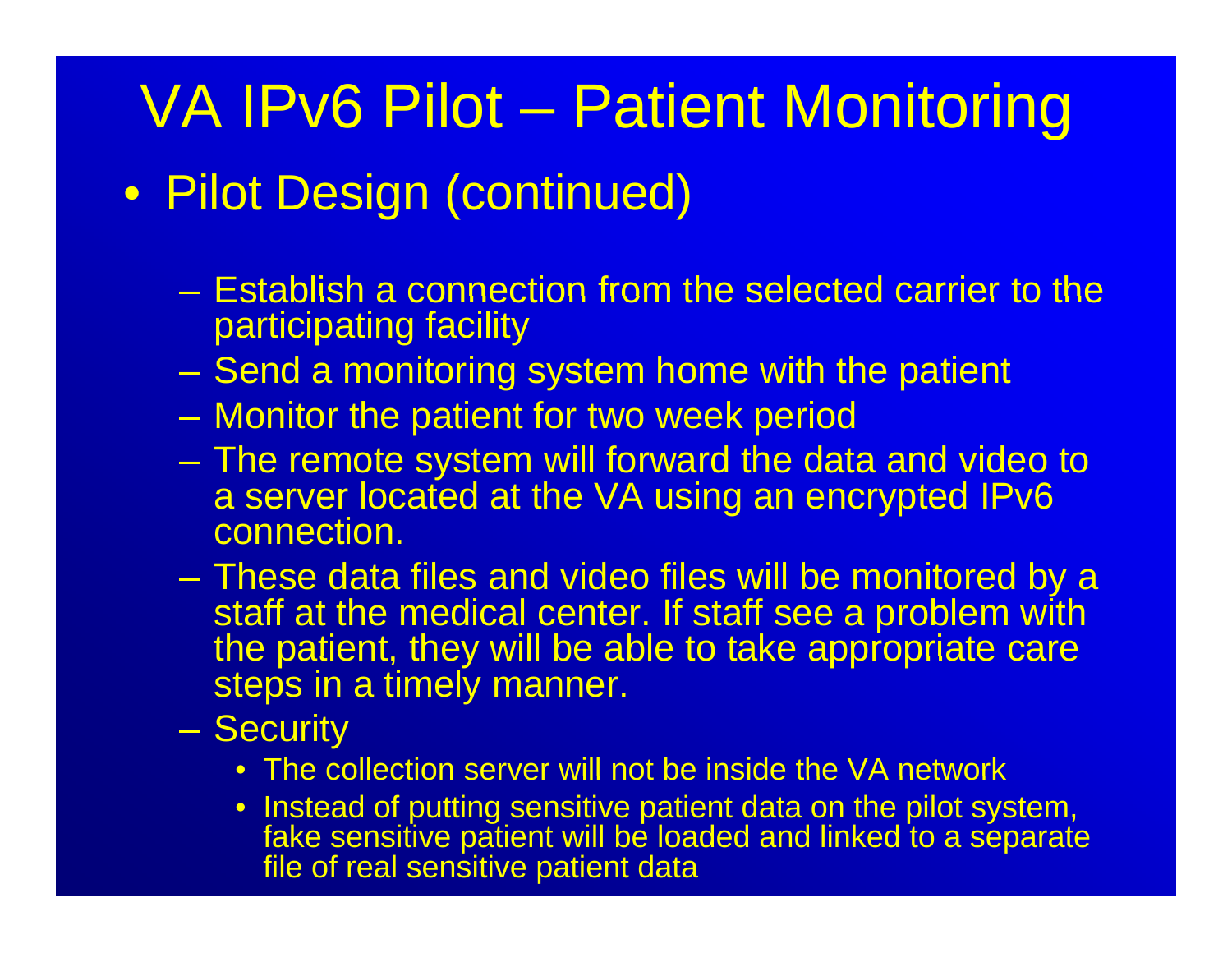#### • Pilot Design (continued)

- $-$  Establish a connection from the selected carrier to the  $\,$ participating facility
- –Send a monitoring system home with the patient
- Monitor the patient for two week period
- $\mathcal{L}_{\mathcal{A}}$  The remote system will forward the data and video to a server located at the VA using an encrypted IPv6 connection.
- These data files and video files will be monitored by a staff at the medical center. If staff see a problem with the patient, they will be able to take appropriate care steps in a timely manner.
- **Security** 
	- $\bullet\,$  The collection server will not be inside the VA network
	- Instead of putting sensitive patient data on the pilot system, fake sensitive patient will be loaded and linked to a separate file of real sensitive patient data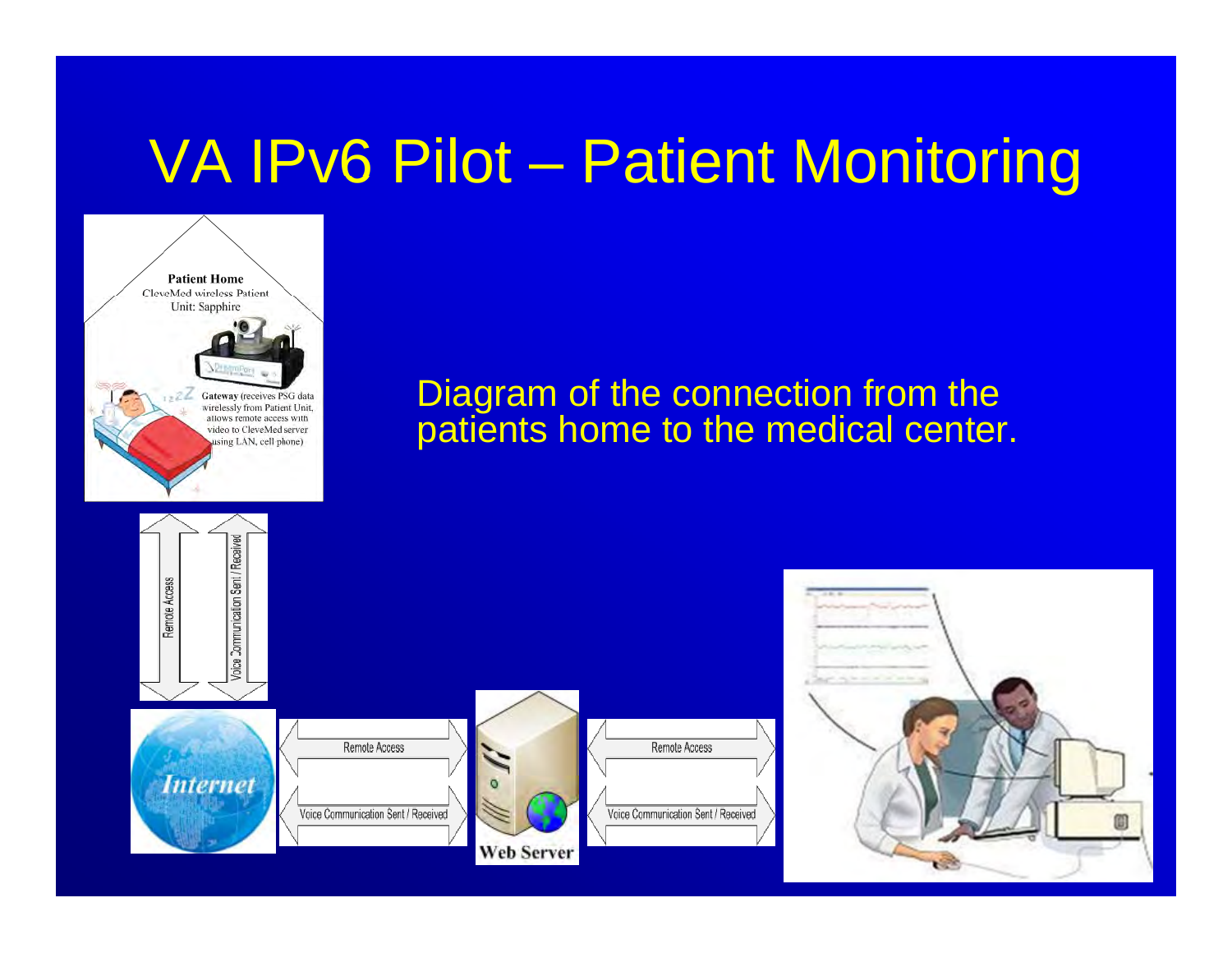

#### Diagram of the connection from the patients home to the medical center.



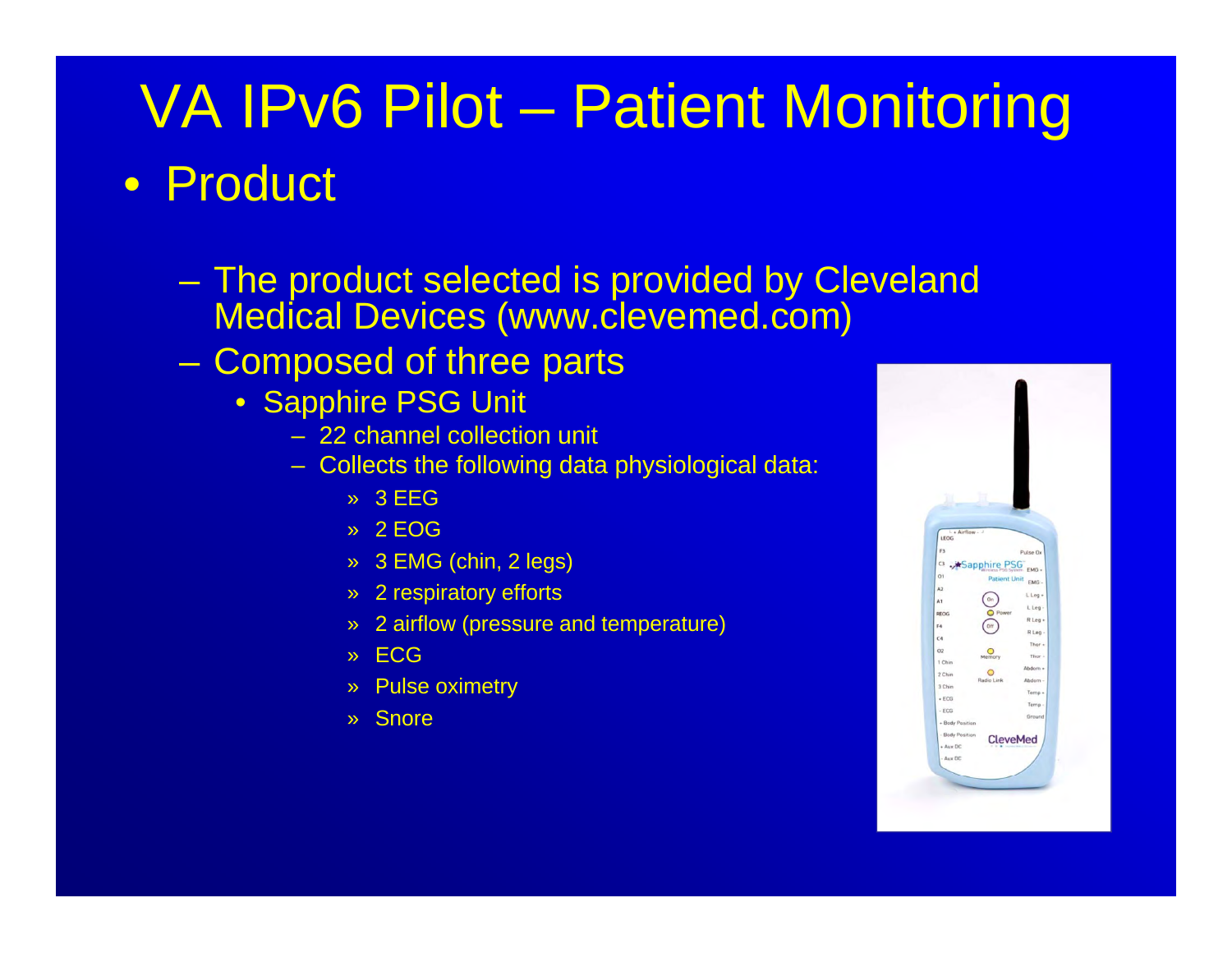#### • Product

- The product selected is provided by Cleveland Medical Devices (www.clevemed.com)
- – Composed of three parts
	- Sapphire PSG Unit
		- 22 channel collection unit
		- Collects the following data physiological data:
			- » 3 EEG
			- » 2 EOG
			- » 3 EMG (chin, 2 legs)
			- » 2 respiratory efforts
			- » 2 airflow (pressure and temperature)
			- » ECG
			- » Pulse oximetry
			- » Snore

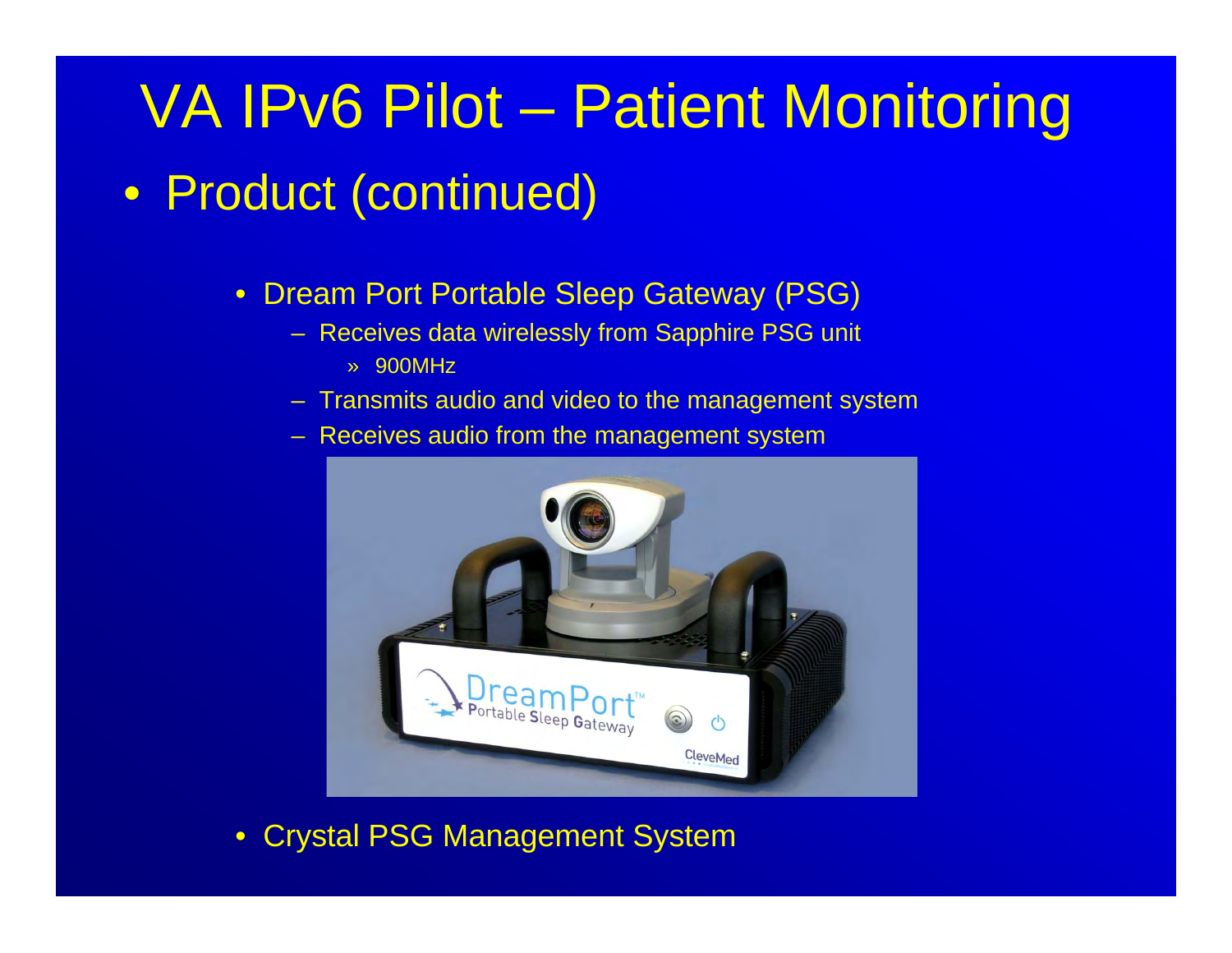#### • Product (continued)

- Dream Port Portable Sleep Gateway (PSG)
	- Receives data wirelessly from Sapphire PSG unit » 900MHz
	- Transmits audio and video to the management system
	- Receives audio from the management system



• Crystal PSG Management System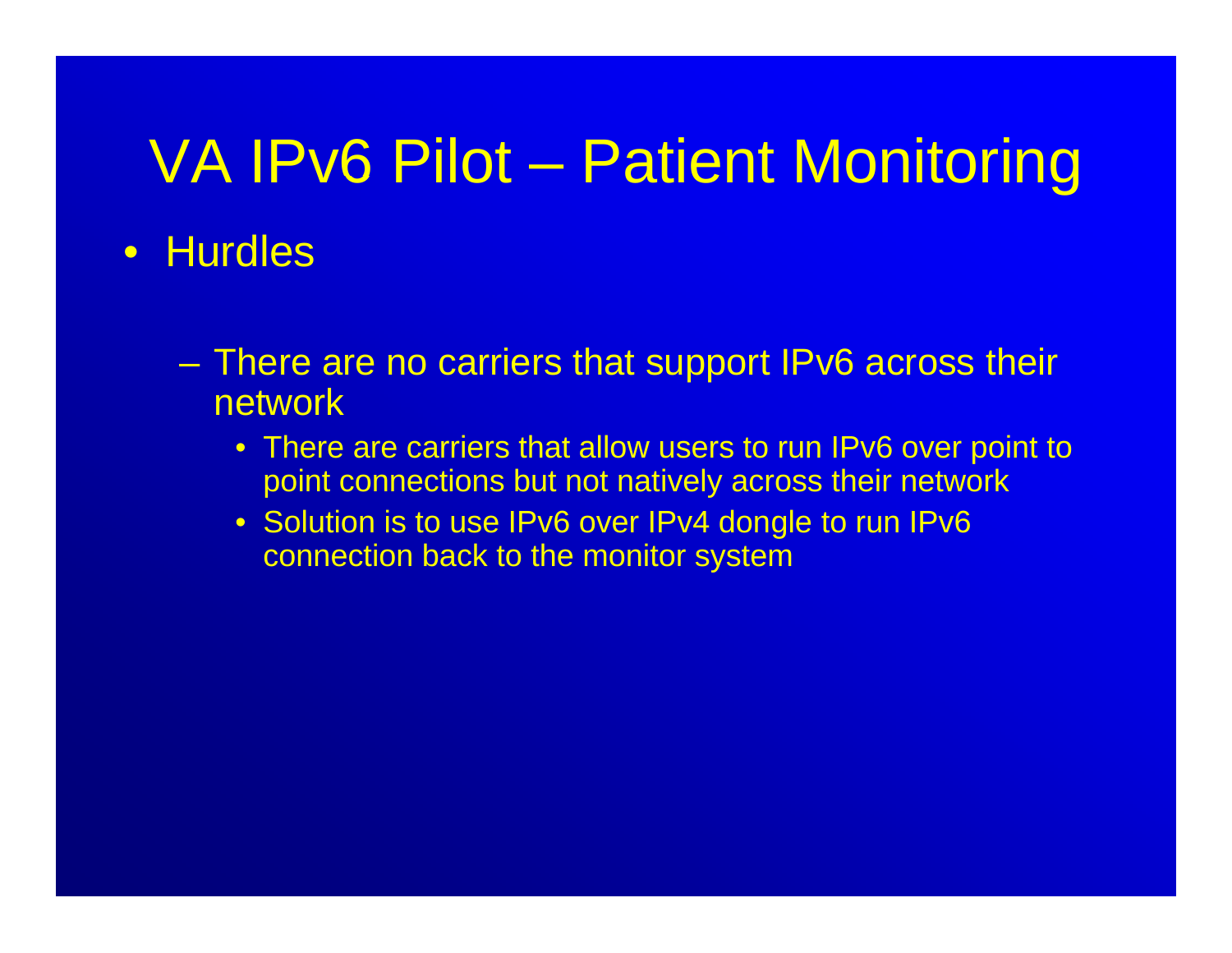- Hurdles
	- – There are no carriers that support IPv6 across their network
		- There are carriers that allow users to run IPv6 over point to point connections but not natively across their network
		- Solution is to use IPv6 over IPv4 dongle to run IPv6 connection back to the monitor system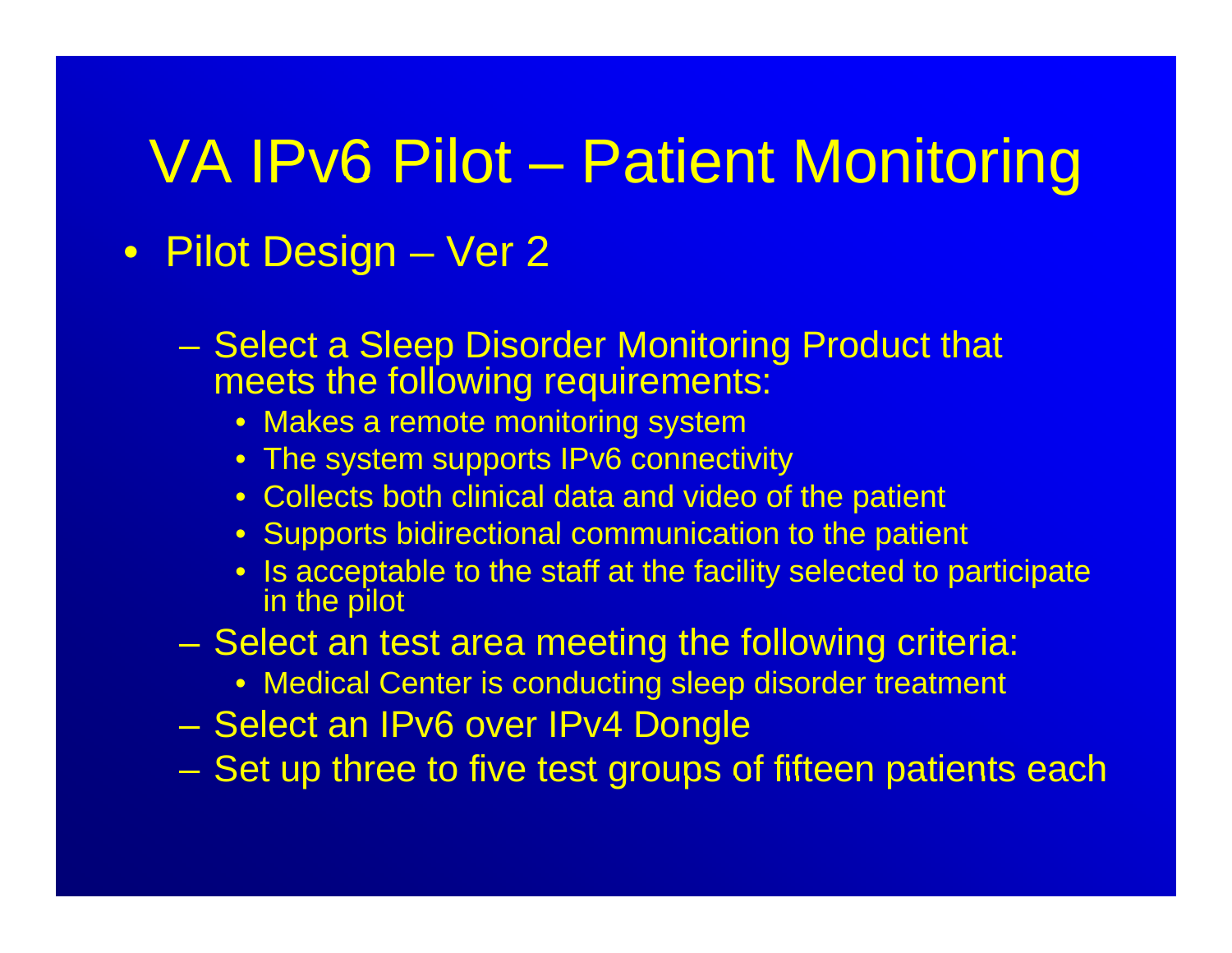- Pilot Design Ver 2
	- Select a Sleep Disorder Monitoring Product that meets the following requirements:
		- $\bullet~$  Makes a remote monitoring system
		- The system supports IPv6 connectivity
		- Collects both clinical data and video of the patient
		- Supports bidirectional communication to the patient
		- Is acceptable to the staff at the facility selected to participate in the pilot
	- –- Select an test area meeting the following criteria:
		- Medical Center is conducting sleep disorder treatment
	- Select an IPv6 over IPv4 Dongle
	- Set up three to five test groups of fifteen patients each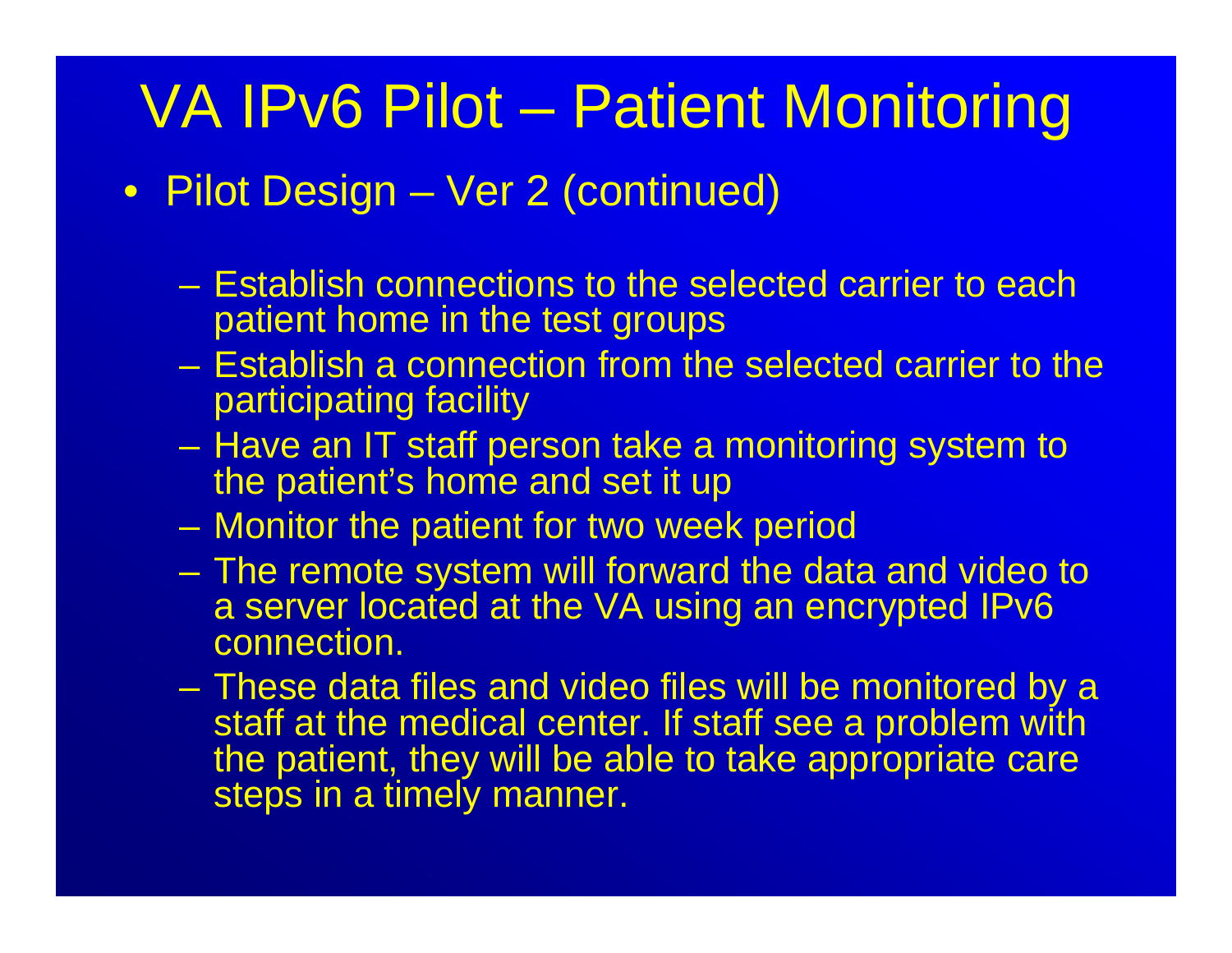- Pilot Design – <del>Jan Karl II.</del><br>Vyhyvänä – Ver 2 (continued)
	- Establish connections to the selected carrier to each patient home in the test groups
	- Establish a connection from the selected carrier to the participating facility
	- – Have an IT staff person take a monitoring system to the patient's home and set it up
	- Monitor the patient for two week period
	- The remote system will forward the data and video to a server located at the VA using an encrypted IPv6 connection.
	- These data files and video files will be monitored by a staff at the medical center. If staff see a problem with the patient, they will be able to take appropriate care steps in a timely manner.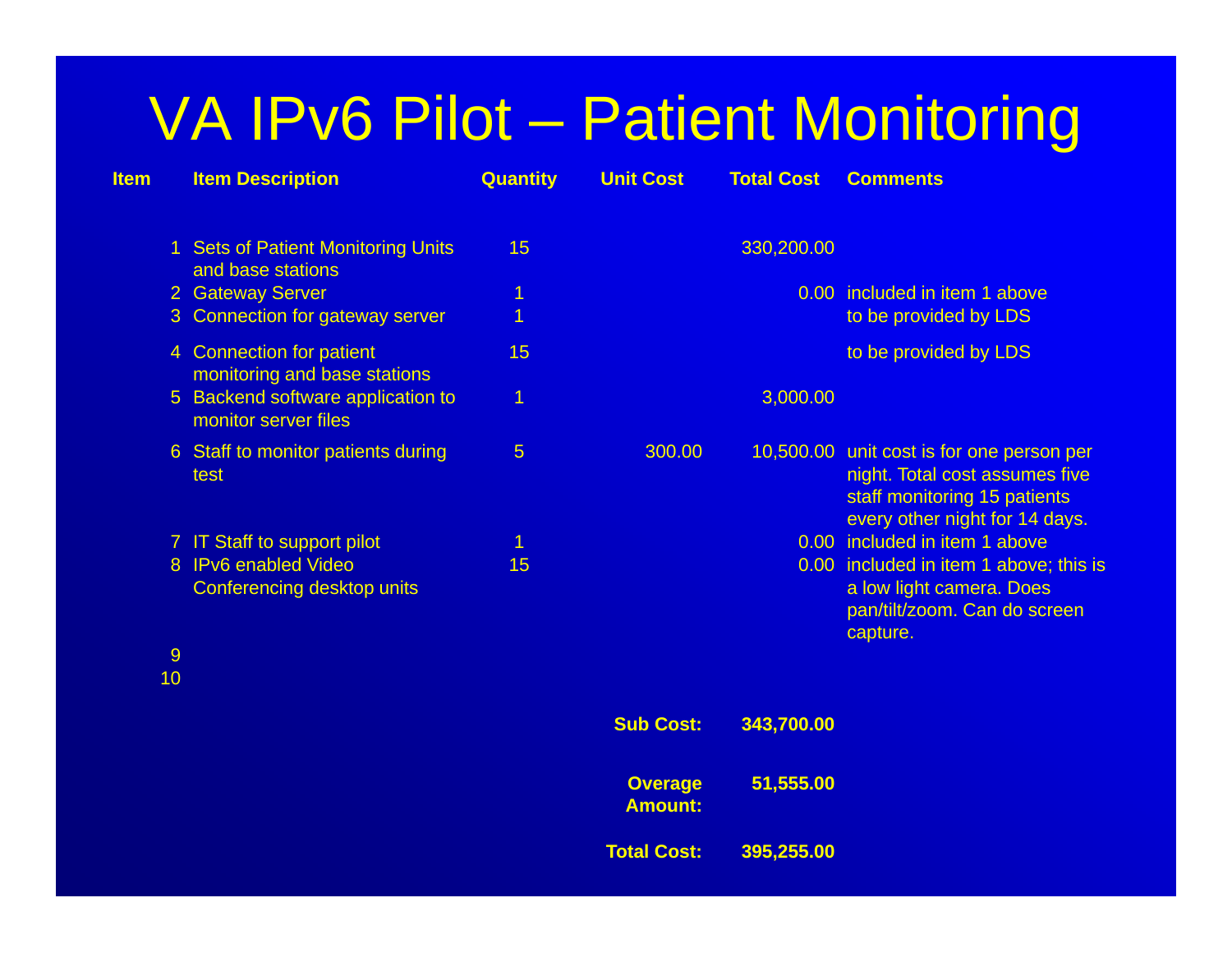| <b>Item</b> | <b>Item Description</b>                                   | <b>Quantity</b> | <b>Unit Cost</b>                 | <b>Total Cost</b> | <b>Comments</b>                                                                                                                               |
|-------------|-----------------------------------------------------------|-----------------|----------------------------------|-------------------|-----------------------------------------------------------------------------------------------------------------------------------------------|
|             | 1 Sets of Patient Monitoring Units<br>and base stations   | 15              |                                  | 330,200.00        |                                                                                                                                               |
|             | 2 Gateway Server                                          | $\overline{1}$  |                                  |                   | 0.00 included in item 1 above                                                                                                                 |
|             | 3 Connection for gateway server                           | $\overline{1}$  |                                  |                   | to be provided by LDS                                                                                                                         |
|             | 4 Connection for patient<br>monitoring and base stations  | 15              |                                  |                   | to be provided by LDS                                                                                                                         |
|             | 5 Backend software application to<br>monitor server files | $\overline{1}$  |                                  | 3,000.00          |                                                                                                                                               |
|             | 6 Staff to monitor patients during<br>test                | 5               | 300.00                           |                   | 10,500.00 unit cost is for one person per<br>night. Total cost assumes five<br>staff monitoring 15 patients<br>every other night for 14 days. |
|             | 7 IT Staff to support pilot                               | 1               |                                  |                   | 0.00 included in item 1 above                                                                                                                 |
|             | 8 IPv6 enabled Video<br>Conferencing desktop units        | 15              |                                  |                   | 0.00 included in item 1 above; this is<br>a low light camera. Does<br>pan/tilt/zoom. Can do screen<br>capture.                                |
| 9           |                                                           |                 |                                  |                   |                                                                                                                                               |
| 10          |                                                           |                 |                                  |                   |                                                                                                                                               |
|             |                                                           |                 | <b>Sub Cost:</b>                 | 343,700.00        |                                                                                                                                               |
|             |                                                           |                 | <b>Overage</b><br><b>Amount:</b> | 51,555.00         |                                                                                                                                               |
|             |                                                           |                 | <b>Total Cost:</b>               | 395,255.00        |                                                                                                                                               |
|             |                                                           |                 |                                  |                   |                                                                                                                                               |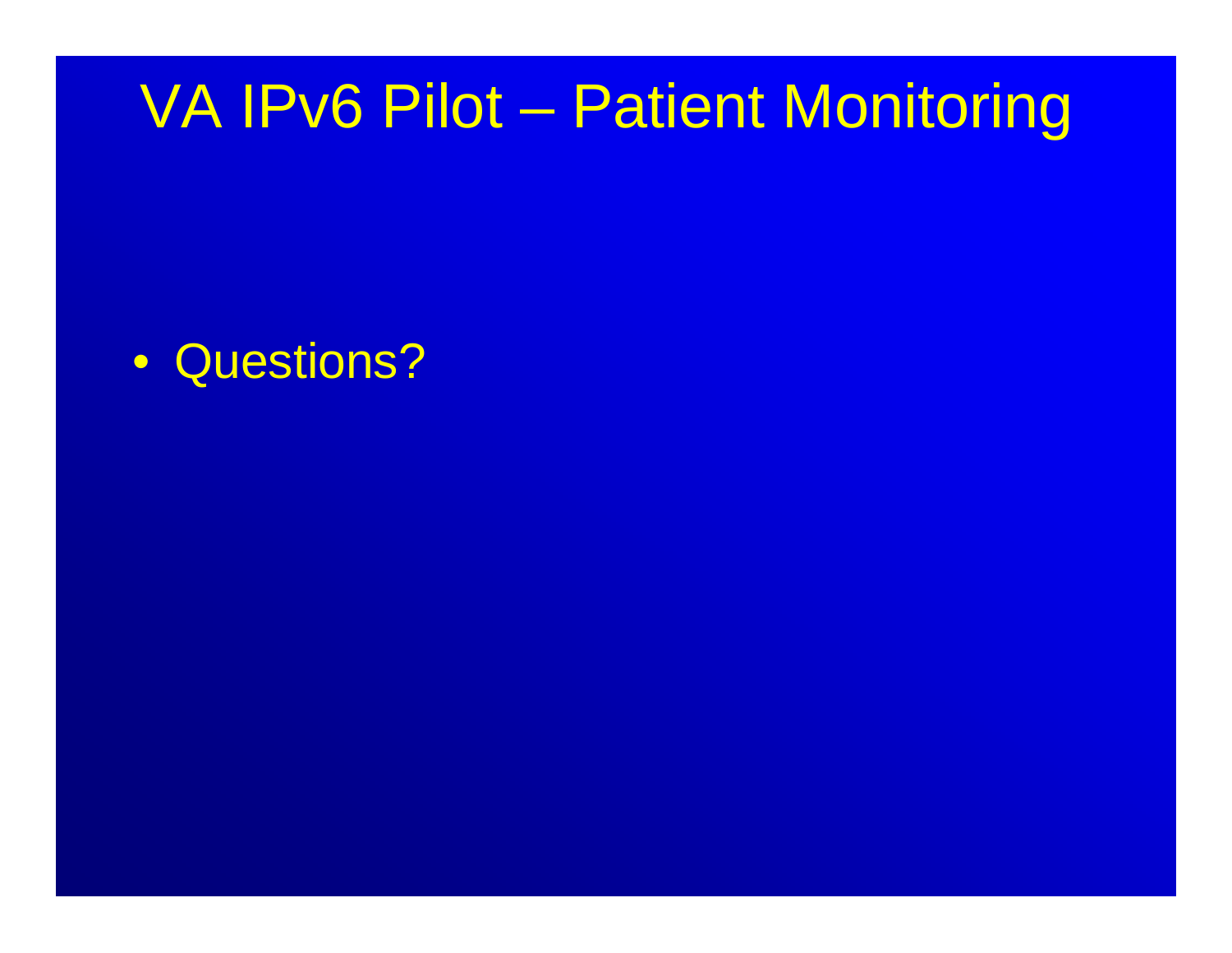• Questions?